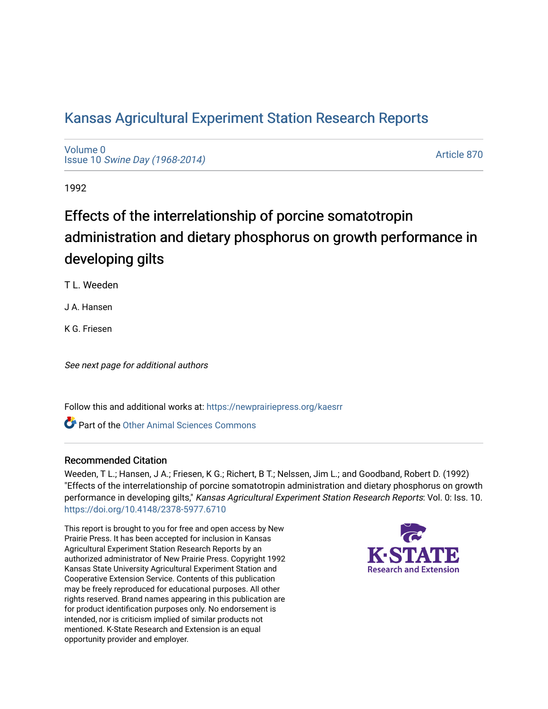## [Kansas Agricultural Experiment Station Research Reports](https://newprairiepress.org/kaesrr)

[Volume 0](https://newprairiepress.org/kaesrr/vol0) Issue 10 [Swine Day \(1968-2014\)](https://newprairiepress.org/kaesrr/vol0/iss10)

[Article 870](https://newprairiepress.org/kaesrr/vol0/iss10/870) 

1992

# Effects of the interrelationship of porcine somatotropin administration and dietary phosphorus on growth performance in developing gilts

T L. Weeden

J A. Hansen

K G. Friesen

See next page for additional authors

Follow this and additional works at: [https://newprairiepress.org/kaesrr](https://newprairiepress.org/kaesrr?utm_source=newprairiepress.org%2Fkaesrr%2Fvol0%2Fiss10%2F870&utm_medium=PDF&utm_campaign=PDFCoverPages) 

**C** Part of the [Other Animal Sciences Commons](http://network.bepress.com/hgg/discipline/82?utm_source=newprairiepress.org%2Fkaesrr%2Fvol0%2Fiss10%2F870&utm_medium=PDF&utm_campaign=PDFCoverPages)

#### Recommended Citation

Weeden, T L.; Hansen, J A.; Friesen, K G.; Richert, B T.; Nelssen, Jim L.; and Goodband, Robert D. (1992) "Effects of the interrelationship of porcine somatotropin administration and dietary phosphorus on growth performance in developing gilts," Kansas Agricultural Experiment Station Research Reports: Vol. 0: Iss. 10. <https://doi.org/10.4148/2378-5977.6710>

This report is brought to you for free and open access by New Prairie Press. It has been accepted for inclusion in Kansas Agricultural Experiment Station Research Reports by an authorized administrator of New Prairie Press. Copyright 1992 Kansas State University Agricultural Experiment Station and Cooperative Extension Service. Contents of this publication may be freely reproduced for educational purposes. All other rights reserved. Brand names appearing in this publication are for product identification purposes only. No endorsement is intended, nor is criticism implied of similar products not mentioned. K-State Research and Extension is an equal opportunity provider and employer.

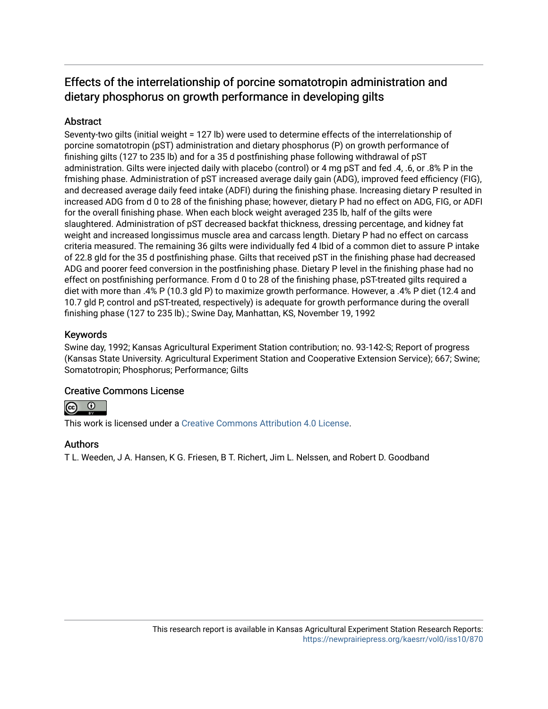## Effects of the interrelationship of porcine somatotropin administration and dietary phosphorus on growth performance in developing gilts

### **Abstract**

Seventy-two gilts (initial weight = 127 lb) were used to determine effects of the interrelationship of porcine somatotropin (pST) administration and dietary phosphorus (P) on growth performance of finishing gilts (127 to 235 lb) and for a 35 d postfinishing phase following withdrawal of pST administration. Gilts were injected daily with placebo (control) or 4 mg pST and fed .4, .6, or .8% P in the fmishing phase. Administration of pST increased average daily gain (ADG), improved feed efficiency (FIG), and decreased average daily feed intake (ADFI) during the finishing phase. Increasing dietary P resulted in increased ADG from d 0 to 28 of the finishing phase; however, dietary P had no effect on ADG, FIG, or ADFI for the overall finishing phase. When each block weight averaged 235 lb, half of the gilts were slaughtered. Administration of pST decreased backfat thickness, dressing percentage, and kidney fat weight and increased longissimus muscle area and carcass length. Dietary P had no effect on carcass criteria measured. The remaining 36 gilts were individually fed 4 Ibid of a common diet to assure P intake of 22.8 gld for the 35 d postfinishing phase. Gilts that received pST in the finishing phase had decreased ADG and poorer feed conversion in the postfinishing phase. Dietary P level in the finishing phase had no effect on postfinishing performance. From d 0 to 28 of the finishing phase, pST-treated gilts required a diet with more than .4% P (10.3 gld P) to maximize growth performance. However, a .4% P diet (12.4 and 10.7 gld P, control and pST-treated, respectively) is adequate for growth performance during the overall finishing phase (127 to 235 lb).; Swine Day, Manhattan, KS, November 19, 1992

### Keywords

Swine day, 1992; Kansas Agricultural Experiment Station contribution; no. 93-142-S; Report of progress (Kansas State University. Agricultural Experiment Station and Cooperative Extension Service); 667; Swine; Somatotropin; Phosphorus; Performance; Gilts

### Creative Commons License



This work is licensed under a [Creative Commons Attribution 4.0 License](https://creativecommons.org/licenses/by/4.0/).

#### Authors

T L. Weeden, J A. Hansen, K G. Friesen, B T. Richert, Jim L. Nelssen, and Robert D. Goodband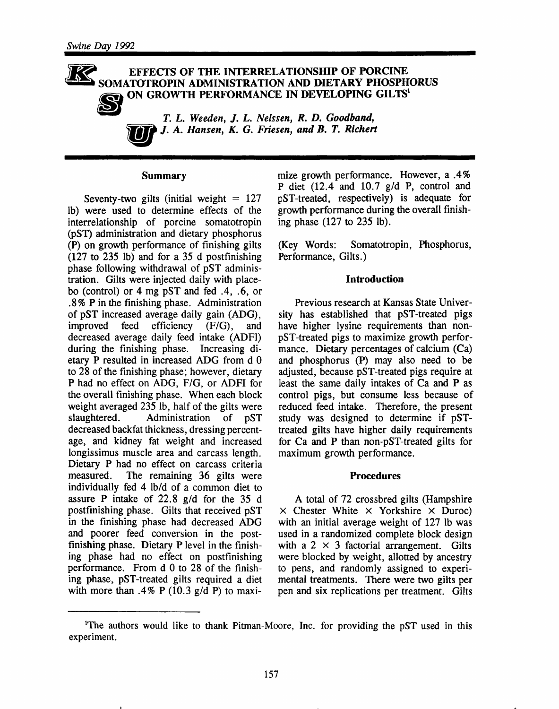#### EFFECTS OF THE INTERRELATIONSHIP OF PORCINE SOMATOTROPIN ADMINISTRATION AND DIETARY PHOSPHORUS ON GROWTH PERFORMANCE IN DEVELOPING GILTS<sup>1</sup>



T. L. Weeden, J. L. Nelssen, R. D. Goodband, J. A. Hansen, K. G. Friesen, and B. T. Richert

#### **Summary**

Seventy-two gilts (initial weight  $= 127$ lb) were used to determine effects of the interrelationship of porcine somatotropin (pST) administration and dietary phosphorus (P) on growth performance of finishing gilts  $(127 \text{ to } 235 \text{ lb})$  and for a 35 d postfinishing phase following withdrawal of pST administration. Gilts were injected daily with placebo (control) or 4 mg pST and fed  $.4$ ,  $.6$ , or .8% P in the finishing phase. Administration of pST increased average daily gain (ADG), improved feed efficiency  $(F/G)$ . and decreased average daily feed intake (ADFI) during the finishing phase. Increasing dietary P resulted in increased ADG from d 0 to 28 of the finishing phase; however, dietary P had no effect on ADG, F/G, or ADFI for the overall finishing phase. When each block weight averaged 235 lb, half of the gilts were Administration slaughtered.  $of$  $pST$ decreased backfat thickness, dressing percentage, and kidney fat weight and increased longissimus muscle area and carcass length. Dietary P had no effect on carcass criteria measured. The remaining 36 gilts were individually fed 4 lb/d of a common diet to assure P intake of 22.8  $g/d$  for the 35 d postfinishing phase. Gilts that received pST in the finishing phase had decreased ADG and poorer feed conversion in the postfinishing phase. Dietary P level in the finishing phase had no effect on postfinishing performance. From d 0 to 28 of the finishing phase, pST-treated gilts required a diet with more than .4% P (10.3 g/d P) to maxi-

mize growth performance. However, a .4% P diet  $(12.4$  and  $10.7$  g/d P, control and pST-treated, respectively) is adequate for growth performance during the overall finishing phase  $(127 \text{ to } 235 \text{ lb}).$ 

(Key Words: Somatotropin, Phosphorus, Performance, Gilts.)

#### **Introduction**

Previous research at Kansas State University has established that pST-treated pigs have higher lysine requirements than nonpST-treated pigs to maximize growth performance. Dietary percentages of calcium (Ca) and phosphorus (P) may also need to be adjusted, because pST-treated pigs require at least the same daily intakes of Ca and P as control pigs, but consume less because of reduced feed intake. Therefore, the present study was designed to determine if pSTtreated gilts have higher daily requirements for Ca and P than non-pST-treated gilts for maximum growth performance.

#### **Procedures**

A total of 72 crossbred gilts (Hampshire  $\times$  Chester White  $\times$  Yorkshire  $\times$  Duroc) with an initial average weight of 127 lb was used in a randomized complete block design with a 2  $\times$  3 factorial arrangement. Gilts were blocked by weight, allotted by ancestry to pens, and randomly assigned to experimental treatments. There were two gilts per pen and six replications per treatment. Gilts

<sup>&</sup>lt;sup>1</sup>The authors would like to thank Pitman-Moore, Inc. for providing the pST used in this experiment.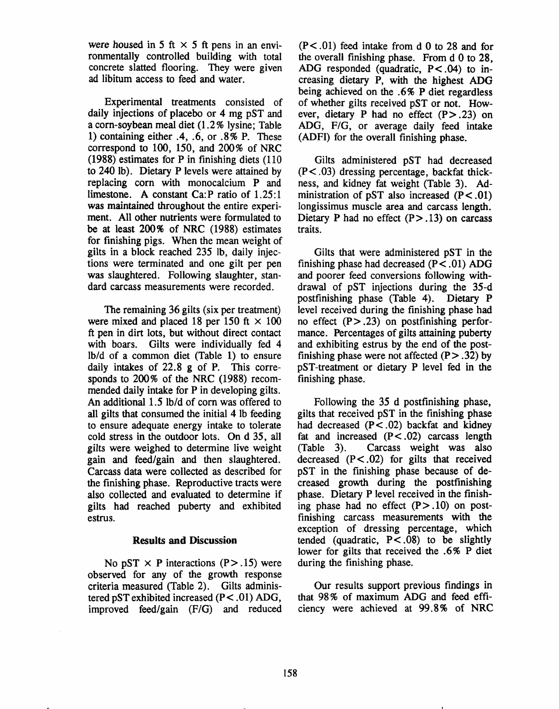were housed in 5 ft  $\times$  5 ft pens in an environmentally controlled building with total concrete slatted flooring. They were given ad libitum access to feed and water.

Experimental treatments consisted of daily injections of placebo or 4 mg pST and a corn-soybean meal diet (1.2% lysine; Table 1) containing either  $.4, .6,$  or  $.8\%$  P. These correspond to  $100$ ,  $150$ , and  $200\%$  of NRC (1988) estimates for P in finishing diets (110) to 240 lb). Dietary P levels were attained by replacing corn with monocalcium P and limestone. A constant Ca: P ratio of  $1.25:1$ was maintained throughout the entire experiment. All other nutrients were formulated to be at least 200% of NRC (1988) estimates for finishing pigs. When the mean weight of gilts in a block reached 235 lb, daily injections were terminated and one gilt per pen was slaughtered. Following slaughter, standard carcass measurements were recorded.

The remaining 36 gilts (six per treatment) were mixed and placed 18 per 150 ft  $\times$  100 ft pen in dirt lots, but without direct contact with boars. Gilts were individually fed 4 lb/d of a common diet (Table 1) to ensure daily intakes of 22.8 g of P. This corresponds to 200% of the NRC (1988) recommended daily intake for P in developing gilts. An additional 1.5 lb/d of corn was offered to all gilts that consumed the initial 4 lb feeding to ensure adequate energy intake to tolerate cold stress in the outdoor lots. On d 35, all gilts were weighed to determine live weight gain and feed/gain and then slaughtered. Carcass data were collected as described for the finishing phase. Reproductive tracts were also collected and evaluated to determine if gilts had reached puberty and exhibited estrus.

#### **Results and Discussion**

No pST  $\times$  P interactions (P $>$ .15) were observed for any of the growth response criteria measured (Table 2). Gilts administered pST exhibited increased  $(P < .01)$  ADG, improved feed/gain (F/G) and reduced

 $(P<.01)$  feed intake from d 0 to 28 and for the overall finishing phase. From d 0 to 28, ADG responded (quadratic,  $P < .04$ ) to increasing dietary P, with the highest ADG being achieved on the .6% P diet regardless of whether gilts received pST or not. However, dietary P had no effect  $(P > .23)$  on ADG, F/G, or average daily feed intake (ADFI) for the overall finishing phase.

Gilts administered pST had decreased  $(P<.03)$  dressing percentage, backfat thickness, and kidney fat weight (Table 3). Administration of pST also increased  $(P < .01)$ longissimus muscle area and carcass length. Dietary P had no effect  $(P > .13)$  on carcass traits.

Gilts that were administered pST in the finishing phase had decreased  $(P < .01)$  ADG and poorer feed conversions following withdrawal of pST injections during the 35-d postfinishing phase (Table 4). Dietary P level received during the finishing phase had no effect  $(P > .23)$  on postfinishing performance. Percentages of gilts attaining puberty and exhibiting estrus by the end of the postfinishing phase were not affected  $(P > .32)$  by pST-treatment or dietary P level fed in the finishing phase.

Following the 35 d postfinishing phase, gilts that received pST in the finishing phase had decreased  $(P < .02)$  backfat and kidney fat and increased  $(P < .02)$  carcass length  $(Table 3)$ . Carcass weight was also decreased  $(P<.02)$  for gilts that received pST in the finishing phase because of decreased growth during the postfinishing phase. Dietary P level received in the finishing phase had no effect  $(P > .10)$  on postfinishing carcass measurements with the exception of dressing percentage, which tended (quadratic,  $P < .08$ ) to be slightly lower for gilts that received the .6% P diet during the finishing phase.

Our results support previous findings in that 98% of maximum ADG and feed efficiency were achieved at 99.8% of NRC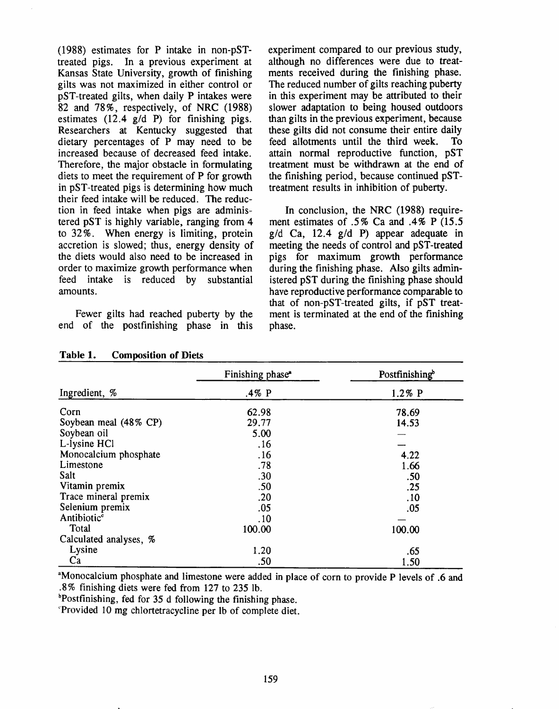$(1988)$  estimates for P intake in non-pSTtreated pigs. In a previous experiment at Kansas State University, growth of finishing gilts was not maximized in either control or pST-treated gilts, when daily P intakes were 82 and 78%, respectively, of NRC (1988) estimates  $(12.4 \text{ g/d P})$  for finishing pigs. Researchers at Kentucky suggested that dietary percentages of P may need to be increased because of decreased feed intake. Therefore, the major obstacle in formulating diets to meet the requirement of P for growth in pST-treated pigs is determining how much their feed intake will be reduced. The reduction in feed intake when pigs are administered pST is highly variable, ranging from 4 to 32%. When energy is limiting, protein accretion is slowed; thus, energy density of the diets would also need to be increased in order to maximize growth performance when feed intake is reduced by substantial amounts.

Fewer gilts had reached puberty by the end of the postfinishing phase in this experiment compared to our previous study, although no differences were due to treatments received during the finishing phase. The reduced number of gilts reaching puberty in this experiment may be attributed to their slower adaptation to being housed outdoors than gilts in the previous experiment, because these gilts did not consume their entire daily feed allotments until the third week. **To** attain normal reproductive function, pST treatment must be withdrawn at the end of the finishing period, because continued pSTtreatment results in inhibition of puberty.

In conclusion, the NRC (1988) requirement estimates of .5% Ca and .4% P (15.5)  $g/d$  Ca, 12.4  $g/d$  P) appear adequate in meeting the needs of control and pST-treated pigs for maximum growth performance during the finishing phase. Also gilts administered pST during the finishing phase should have reproductive performance comparable to that of non-pST-treated gilts, if pST treatment is terminated at the end of the finishing phase.

|                         | Finishing phase <sup>®</sup> | Postfinishing<br>$1.2\%$ P |  |  |
|-------------------------|------------------------------|----------------------------|--|--|
| Ingredient, %           | .4% $P$                      |                            |  |  |
| Corn                    | 62.98                        | 78.69                      |  |  |
| Soybean meal (48% CP)   | 29.77                        | 14.53                      |  |  |
| Soybean oil             | 5.00                         |                            |  |  |
| L-lysine HCl            | .16                          |                            |  |  |
| Monocalcium phosphate   | .16                          | 4.22                       |  |  |
| Limestone               | .78                          | 1.66                       |  |  |
| Salt                    | .30                          | .50                        |  |  |
| Vitamin premix          | .50                          | .25                        |  |  |
| Trace mineral premix    | .20                          | .10                        |  |  |
| Selenium premix         | .05                          | .05                        |  |  |
| Antibiotic <sup>c</sup> | .10                          |                            |  |  |
| Total                   | 100.00                       | 100.00                     |  |  |
| Calculated analyses, %  |                              |                            |  |  |
| Lysine                  | 1.20                         | .65                        |  |  |
| Ca                      | .50                          | 1.50                       |  |  |

#### Table 1. **Composition of Diets**

<sup>a</sup>Monocalcium phosphate and limestone were added in place of corn to provide P levels of .6 and .8% finishing diets were fed from 127 to 235 lb.

**Postfinishing, fed for 35 d following the finishing phase.** 

Provided 10 mg chlortetracycline per lb of complete diet.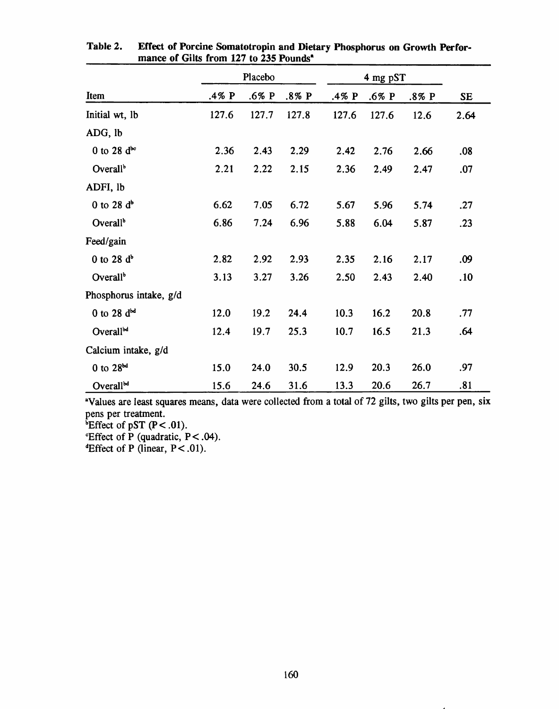|                        | Placebo |       |       |       |       |       |           |
|------------------------|---------|-------|-------|-------|-------|-------|-----------|
| Item                   | .4% P   | .6% P | .8% P | .4% P | .6% P | .8% P | <b>SE</b> |
| Initial wt, lb         | 127.6   | 127.7 | 127.8 | 127.6 | 127.6 | 12.6  | 2.64      |
| ADG, lb                |         |       |       |       |       |       |           |
| 0 to 28 $d^{\infty}$   | 2.36    | 2.43  | 2.29  | 2.42  | 2.76  | 2.66  | .08       |
| Overall <sup>b</sup>   | 2.21    | 2.22  | 2.15  | 2.36  | 2.49  | 2.47  | .07       |
| ADFI, lb               |         |       |       |       |       |       |           |
| 0 to 28 $d^b$          | 6.62    | 7.05  | 6.72  | 5.67  | 5.96  | 5.74  | .27       |
| Overall <sup>b</sup>   | 6.86    | 7.24  | 6.96  | 5.88  | 6.04  | 5.87  | .23       |
| Feed/gain              |         |       |       |       |       |       |           |
| $0$ to 28 $db$         | 2.82    | 2.92  | 2.93  | 2.35  | 2.16  | 2.17  | .09       |
| Overall <sup>b</sup>   | 3.13    | 3.27  | 3.26  | 2.50  | 2.43  | 2.40  | .10       |
| Phosphorus intake, g/d |         |       |       |       |       |       |           |
| 0 to 28 $d^{bd}$       | 12.0    | 19.2  | 24.4  | 10.3  | 16.2  | 20.8  | .77       |
| Overall <sup>bd</sup>  | 12.4    | 19.7  | 25.3  | 10.7  | 16.5  | 21.3  | .64       |
| Calcium intake, g/d    |         |       |       |       |       |       |           |
| 0 to 28 <sup>bd</sup>  | 15.0    | 24.0  | 30.5  | 12.9  | 20.3  | 26.0  | .97       |
| Overallbd              | 15.6    | 24.6  | 31.6  | 13.3  | 20.6  | 26.7  | .81       |

Effect of Porcine Somatotropin and Dietary Phosphorus on Growth Perfor-Table 2. mance of Gilts from 127 to 235 Pounds<sup>a</sup>

<sup>a</sup>Values are least squares means, data were collected from a total of 72 gilts, two gilts per pen, six pens per treatment. <sup>b</sup>Effect of pST  $(P < .01)$ .

*Effect of P* (quadratic,  $P < .04$ ).

<sup>d</sup>Effect of P (linear,  $P < .01$ ).